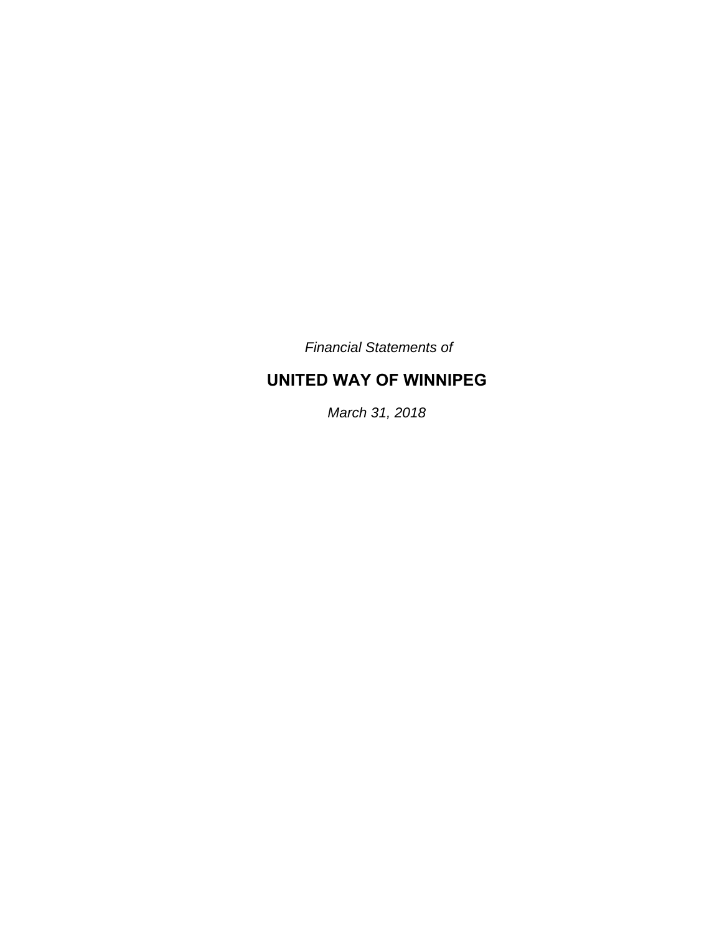*Financial Statements of* 

# **UNITED WAY OF WINNIPEG**

*March 31, 2018*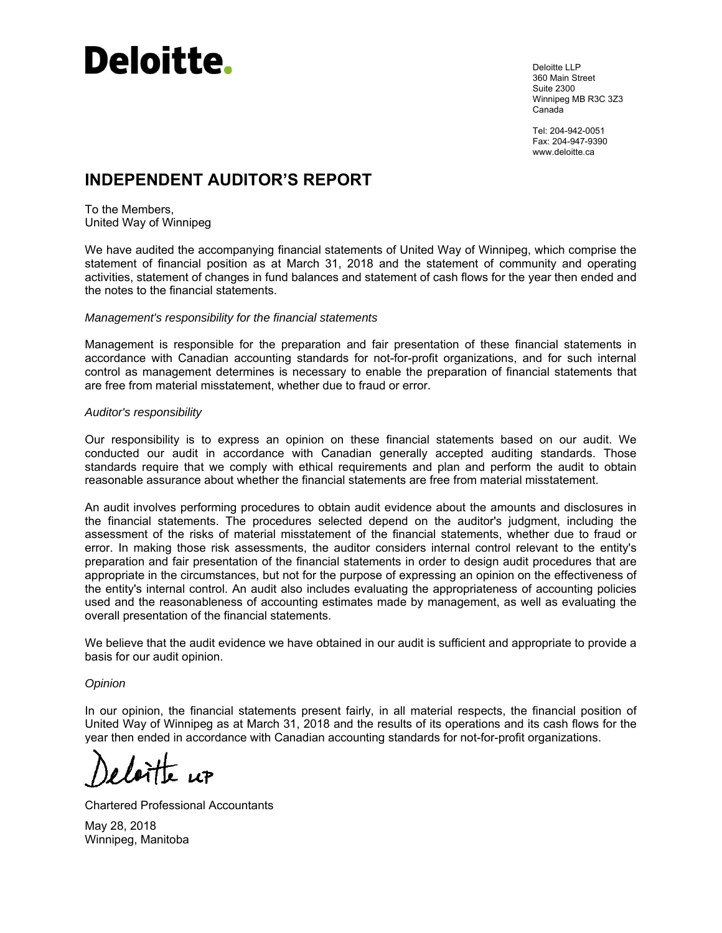# Deloitte.

Deloitte LLP 360 Main Street Suite 2300 Winnipeg MB R3C 3Z3 Canada

Tel: 204-942-0051 Fax: 204-947-9390 www.deloitte.ca

# **INDEPENDENT AUDITOR'S REPORT**

To the Members, United Way of Winnipeg

We have audited the accompanying financial statements of United Way of Winnipeg, which comprise the statement of financial position as at March 31, 2018 and the statement of community and operating activities, statement of changes in fund balances and statement of cash flows for the year then ended and the notes to the financial statements.

#### *Management's responsibility for the financial statements*

Management is responsible for the preparation and fair presentation of these financial statements in accordance with Canadian accounting standards for not-for-profit organizations, and for such internal control as management determines is necessary to enable the preparation of financial statements that are free from material misstatement, whether due to fraud or error.

#### *Auditor's responsibility*

Our responsibility is to express an opinion on these financial statements based on our audit. We conducted our audit in accordance with Canadian generally accepted auditing standards. Those standards require that we comply with ethical requirements and plan and perform the audit to obtain reasonable assurance about whether the financial statements are free from material misstatement.

An audit involves performing procedures to obtain audit evidence about the amounts and disclosures in the financial statements. The procedures selected depend on the auditor's judgment, including the assessment of the risks of material misstatement of the financial statements, whether due to fraud or error. In making those risk assessments, the auditor considers internal control relevant to the entity's preparation and fair presentation of the financial statements in order to design audit procedures that are appropriate in the circumstances, but not for the purpose of expressing an opinion on the effectiveness of the entity's internal control. An audit also includes evaluating the appropriateness of accounting policies used and the reasonableness of accounting estimates made by management, as well as evaluating the overall presentation of the financial statements.

We believe that the audit evidence we have obtained in our audit is sufficient and appropriate to provide a basis for our audit opinion.

#### *Opinion*

In our opinion, the financial statements present fairly, in all material respects, the financial position of United Way of Winnipeg as at March 31, 2018 and the results of its operations and its cash flows for the year then ended in accordance with Canadian accounting standards for not-for-profit organizations.

Chartered Professional Accountants

May 28, 2018 Winnipeg, Manitoba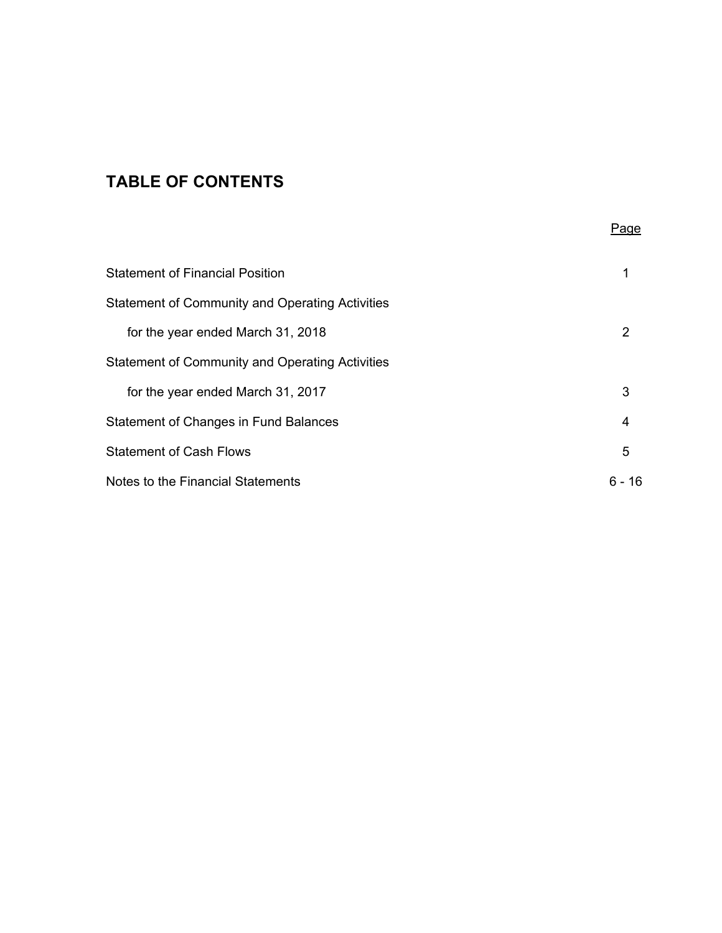# **TABLE OF CONTENTS**

| <b>Statement of Financial Position</b>                 | 1      |
|--------------------------------------------------------|--------|
| <b>Statement of Community and Operating Activities</b> |        |
| for the year ended March 31, 2018                      | 2      |
| <b>Statement of Community and Operating Activities</b> |        |
| for the year ended March 31, 2017                      | 3      |
| <b>Statement of Changes in Fund Balances</b>           | 4      |
| <b>Statement of Cash Flows</b>                         | 5      |
| Notes to the Financial Statements                      | 6 - 16 |

Page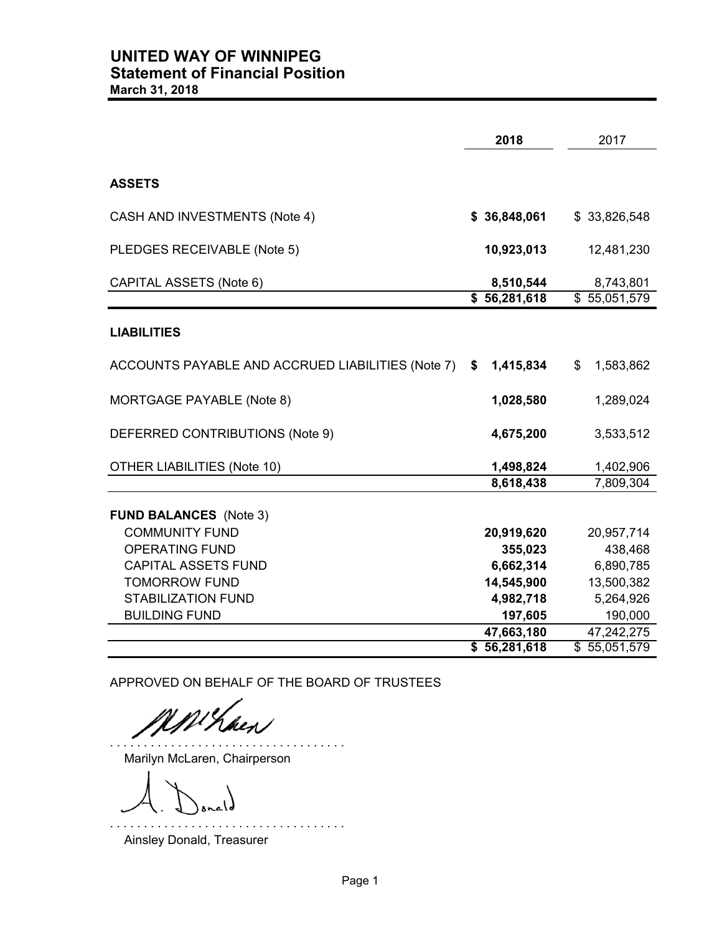|                                                   | 2018                      | 2017                      |
|---------------------------------------------------|---------------------------|---------------------------|
| <b>ASSETS</b>                                     |                           |                           |
| CASH AND INVESTMENTS (Note 4)                     | \$36,848,061              | \$33,826,548              |
| PLEDGES RECEIVABLE (Note 5)                       | 10,923,013                | 12,481,230                |
| CAPITAL ASSETS (Note 6)                           | 8,510,544<br>\$56,281,618 | 8,743,801<br>\$55,051,579 |
|                                                   |                           |                           |
| <b>LIABILITIES</b>                                |                           |                           |
| ACCOUNTS PAYABLE AND ACCRUED LIABILITIES (Note 7) | 1,415,834<br>\$           | \$<br>1,583,862           |
| MORTGAGE PAYABLE (Note 8)                         | 1,028,580                 | 1,289,024                 |
| DEFERRED CONTRIBUTIONS (Note 9)                   | 4,675,200                 | 3,533,512                 |
| <b>OTHER LIABILITIES (Note 10)</b>                | 1,498,824                 | 1,402,906                 |
|                                                   | 8,618,438                 | 7,809,304                 |
| <b>FUND BALANCES</b> (Note 3)                     |                           |                           |
| <b>COMMUNITY FUND</b>                             | 20,919,620                | 20,957,714                |
| <b>OPERATING FUND</b>                             | 355,023                   | 438,468                   |
| <b>CAPITAL ASSETS FUND</b>                        | 6,662,314                 | 6,890,785                 |
| <b>TOMORROW FUND</b>                              | 14,545,900                | 13,500,382                |
| <b>STABILIZATION FUND</b>                         | 4,982,718                 | 5,264,926                 |
| <b>BUILDING FUND</b>                              | 197,605                   | 190,000                   |
|                                                   | 47,663,180                | 47,242,275                |
|                                                   | \$56,281,618              | \$55,051,579              |

APPROVED ON BEHALF OF THE BOARD OF TRUSTEES

Vaen

. . . . . . . . . . . . . . . . . . . . . . . . . . . . . . . . . . .

Marilyn McLaren, Chairperson

. . . . . . . . . . . . . . . . . . . . . . . . . . . . . . . . . . .

Ainsley Donald, Treasurer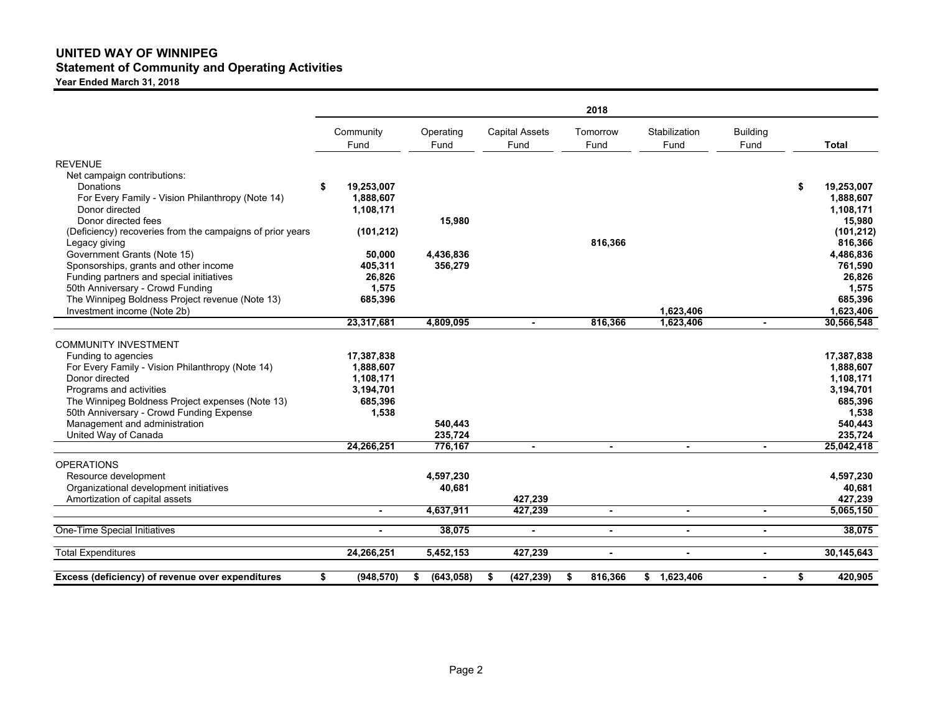# **UNITED WAY OF WINNIPEGStatement of Community and Operating Activities**

**Year Ended March 31, 2018**

|                                                                                                                                                                                                                                                                                                                                                                                                                                                                                 |                                                                                                             |                        |                               |    |                               | 2018             |   |                       |                         |                |                                                                                                                                                  |
|---------------------------------------------------------------------------------------------------------------------------------------------------------------------------------------------------------------------------------------------------------------------------------------------------------------------------------------------------------------------------------------------------------------------------------------------------------------------------------|-------------------------------------------------------------------------------------------------------------|------------------------|-------------------------------|----|-------------------------------|------------------|---|-----------------------|-------------------------|----------------|--------------------------------------------------------------------------------------------------------------------------------------------------|
|                                                                                                                                                                                                                                                                                                                                                                                                                                                                                 | Community<br>Fund                                                                                           | Operating<br>Fund      |                               |    | <b>Capital Assets</b><br>Fund | Tomorrow<br>Fund |   | Stabilization<br>Fund | <b>Building</b><br>Fund |                | Total                                                                                                                                            |
| <b>REVENUE</b><br>Net campaign contributions:<br>Donations<br>For Every Family - Vision Philanthropy (Note 14)<br>Donor directed<br>Donor directed fees<br>(Deficiency) recoveries from the campaigns of prior years<br>Legacy giving<br>Government Grants (Note 15)<br>Sponsorships, grants and other income<br>Funding partners and special initiatives<br>50th Anniversary - Crowd Funding<br>The Winnipeg Boldness Project revenue (Note 13)<br>Investment income (Note 2b) | \$<br>19.253.007<br>1.888.607<br>1,108,171<br>(101, 212)<br>50,000<br>405,311<br>26,826<br>1,575<br>685,396 | 4,436,836<br>356,279   | 15,980                        |    |                               | 816,366          |   | 1,623,406             |                         |                | \$<br>19.253.007<br>1.888.607<br>1,108,171<br>15,980<br>(101, 212)<br>816,366<br>4,486,836<br>761,590<br>26,826<br>1,575<br>685,396<br>1,623,406 |
|                                                                                                                                                                                                                                                                                                                                                                                                                                                                                 | 23,317,681                                                                                                  | 4,809,095              |                               |    | $\blacksquare$                | 816,366          |   | 1,623,406             |                         | $\sim$         | 30,566,548                                                                                                                                       |
| <b>COMMUNITY INVESTMENT</b><br>Funding to agencies<br>For Every Family - Vision Philanthropy (Note 14)<br>Donor directed<br>Programs and activities<br>The Winnipeg Boldness Project expenses (Note 13)<br>50th Anniversary - Crowd Funding Expense<br>Management and administration<br>United Way of Canada                                                                                                                                                                    | 17.387.838<br>1,888,607<br>1,108,171<br>3,194,701<br>685,396<br>1,538<br>24,266,251                         |                        | 540,443<br>235,724<br>776,167 |    | $\sim$                        | ٠                |   | $\sim$                |                         | $\sim$         | 17.387.838<br>1,888,607<br>1,108,171<br>3,194,701<br>685,396<br>1,538<br>540,443<br>235,724<br>25,042,418                                        |
| <b>OPERATIONS</b><br>Resource development<br>Organizational development initiatives<br>Amortization of capital assets                                                                                                                                                                                                                                                                                                                                                           | $\blacksquare$                                                                                              | 4,597,230<br>4,637,911 | 40,681                        |    | 427,239<br>427,239            | $\sim$           |   | $\sim$                |                         | $\sim$         | 4,597,230<br>40,681<br>427,239<br>5,065,150                                                                                                      |
| <b>One-Time Special Initiatives</b>                                                                                                                                                                                                                                                                                                                                                                                                                                             | $\blacksquare$                                                                                              |                        | 38,075                        |    | $\sim$                        | ٠                |   | $\blacksquare$        |                         | $\sim$         | 38,075                                                                                                                                           |
| <b>Total Expenditures</b>                                                                                                                                                                                                                                                                                                                                                                                                                                                       | 24,266,251                                                                                                  | 5,452,153              |                               |    | 427,239                       | $\blacksquare$   |   | ÷.                    |                         | $\blacksquare$ | 30,145,643                                                                                                                                       |
| Excess (deficiency) of revenue over expenditures                                                                                                                                                                                                                                                                                                                                                                                                                                | \$<br>(948, 570)                                                                                            | (643, 058)             |                               | S. | (427, 239)                    | \$<br>816,366    | S | 1,623,406             |                         | $\sim$         | \$<br>420,905                                                                                                                                    |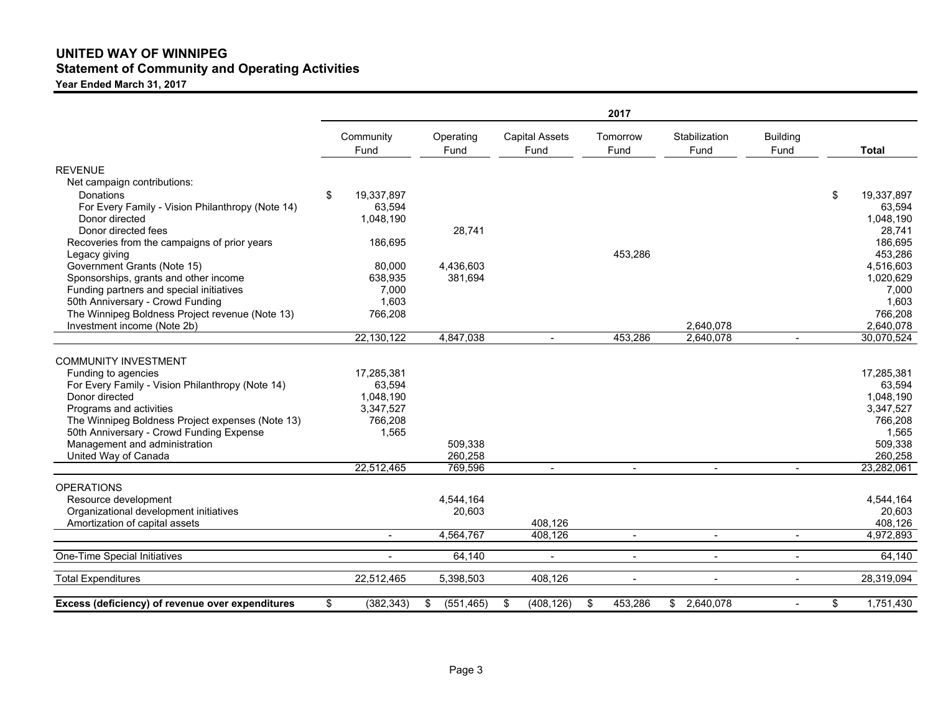# **UNITED WAY OF WINNIPEG Statement of Community and Operating Activities**

**Year Ended March 31, 2017**

|                                                  |                   |                   |                               | 2017             |                       |                         |                  |
|--------------------------------------------------|-------------------|-------------------|-------------------------------|------------------|-----------------------|-------------------------|------------------|
|                                                  | Community<br>Fund | Operating<br>Fund | <b>Capital Assets</b><br>Fund | Tomorrow<br>Fund | Stabilization<br>Fund | <b>Building</b><br>Fund | Total            |
| <b>REVENUE</b>                                   |                   |                   |                               |                  |                       |                         |                  |
| Net campaign contributions:                      |                   |                   |                               |                  |                       |                         |                  |
| Donations                                        | \$<br>19,337,897  |                   |                               |                  |                       |                         | \$<br>19,337,897 |
| For Every Family - Vision Philanthropy (Note 14) | 63,594            |                   |                               |                  |                       |                         | 63,594           |
| Donor directed                                   | 1,048,190         |                   |                               |                  |                       |                         | 1,048,190        |
| Donor directed fees                              |                   | 28,741            |                               |                  |                       |                         | 28,741           |
| Recoveries from the campaigns of prior years     | 186,695           |                   |                               |                  |                       |                         | 186,695          |
| Legacy giving                                    |                   |                   |                               | 453,286          |                       |                         | 453,286          |
| Government Grants (Note 15)                      | 80,000            | 4,436,603         |                               |                  |                       |                         | 4,516,603        |
| Sponsorships, grants and other income            | 638,935           | 381,694           |                               |                  |                       |                         | 1,020,629        |
| Funding partners and special initiatives         | 7,000             |                   |                               |                  |                       |                         | 7,000            |
| 50th Anniversary - Crowd Funding                 | 1,603             |                   |                               |                  |                       |                         | 1,603            |
| The Winnipeg Boldness Project revenue (Note 13)  | 766,208           |                   |                               |                  |                       |                         | 766,208          |
| Investment income (Note 2b)                      |                   |                   |                               |                  | 2.640.078             |                         | 2,640,078        |
|                                                  | 22, 130, 122      | 4,847,038         | $\sim$                        | 453,286          | 2,640,078             | $\blacksquare$          | 30,070,524       |
|                                                  |                   |                   |                               |                  |                       |                         |                  |
| <b>COMMUNITY INVESTMENT</b>                      |                   |                   |                               |                  |                       |                         |                  |
| Funding to agencies                              | 17.285.381        |                   |                               |                  |                       |                         | 17.285.381       |
| For Every Family - Vision Philanthropy (Note 14) | 63,594            |                   |                               |                  |                       |                         | 63,594           |
| Donor directed                                   | 1,048,190         |                   |                               |                  |                       |                         | 1,048,190        |
| Programs and activities                          | 3,347,527         |                   |                               |                  |                       |                         | 3,347,527        |
| The Winnipeg Boldness Project expenses (Note 13) | 766,208           |                   |                               |                  |                       |                         | 766,208          |
| 50th Anniversary - Crowd Funding Expense         | 1,565             |                   |                               |                  |                       |                         | 1,565            |
| Management and administration                    |                   | 509,338           |                               |                  |                       |                         | 509,338          |
| United Way of Canada                             |                   | 260,258           |                               |                  |                       |                         | 260,258          |
|                                                  | 22,512,465        | 769,596           | $\sim$                        | $\sim$           | $\blacksquare$        | $\blacksquare$          | 23,282,061       |
| <b>OPERATIONS</b>                                |                   |                   |                               |                  |                       |                         |                  |
| Resource development                             |                   | 4,544,164         |                               |                  |                       |                         | 4,544,164        |
| Organizational development initiatives           |                   | 20,603            |                               |                  |                       |                         | 20,603           |
| Amortization of capital assets                   |                   |                   | 408,126                       |                  |                       |                         | 408,126          |
|                                                  | $\sim$            | 4,564,767         | 408,126                       | $\blacksquare$   | $\sim$                | $\sim$                  | 4,972,893        |
| One-Time Special Initiatives                     | $\blacksquare$    | 64,140            | $\sim$                        | $\blacksquare$   | $\blacksquare$        | $\blacksquare$          | 64,140           |
| <b>Total Expenditures</b>                        | 22,512,465        | 5,398,503         | 408,126                       | $\blacksquare$   | $\blacksquare$        | $\blacksquare$          | 28,319,094       |
| Excess (deficiency) of revenue over expenditures | \$<br>(382, 343)  | \$<br>(551, 465)  | \$<br>(408, 126)              | \$<br>453,286    | \$<br>2.640.078       |                         | \$<br>1,751,430  |
|                                                  |                   |                   |                               |                  |                       |                         |                  |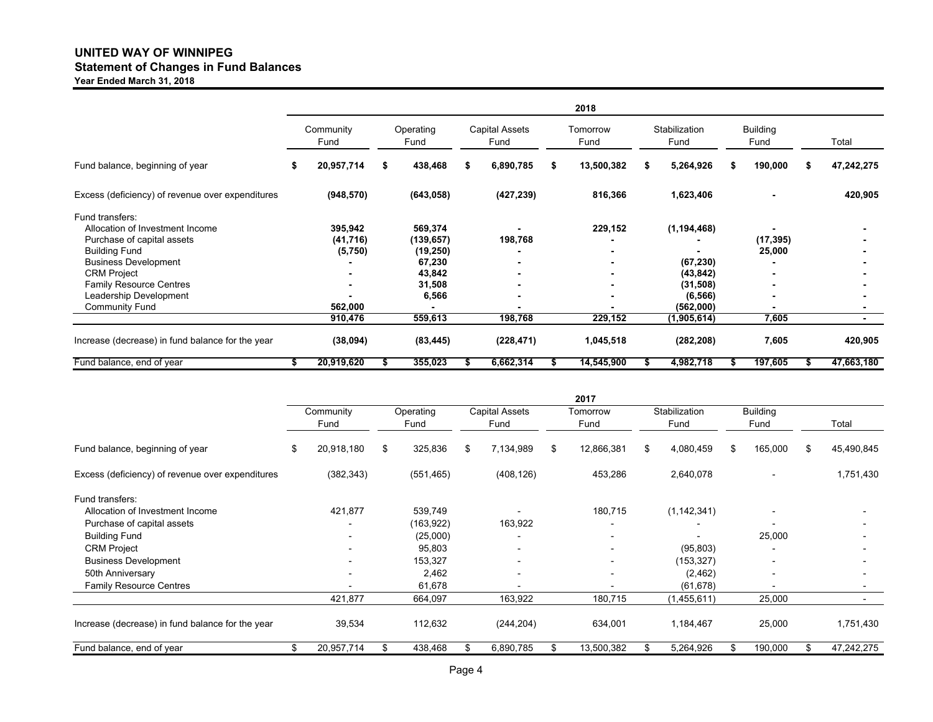# **UNITED WAY OF WINNIPEGStatement of Changes in Fund Balances**

**Year Ended March 31, 2018**

|                                                  |   |                   |                   |    |                               |   | 2018             |                       |                         |            |
|--------------------------------------------------|---|-------------------|-------------------|----|-------------------------------|---|------------------|-----------------------|-------------------------|------------|
|                                                  |   | Community<br>Fund | Operating<br>Fund |    | <b>Capital Assets</b><br>Fund |   | Tomorrow<br>Fund | Stabilization<br>Fund | <b>Building</b><br>Fund | Total      |
| Fund balance, beginning of year                  | S | 20,957,714        | 438,468           | S. | 6,890,785                     | S | 13,500,382       | 5,264,926             | 190,000                 | 47,242,275 |
| Excess (deficiency) of revenue over expenditures |   | (948, 570)        | (643,058)         |    | (427, 239)                    |   | 816,366          | 1,623,406             |                         | 420,905    |
| Fund transfers:                                  |   |                   |                   |    |                               |   |                  |                       |                         |            |
| Allocation of Investment Income                  |   | 395,942           | 569,374           |    |                               |   | 229,152          | (1, 194, 468)         |                         |            |
| Purchase of capital assets                       |   | (41, 716)         | (139,657)         |    | 198,768                       |   |                  |                       | (17, 395)               |            |
| <b>Building Fund</b>                             |   | (5,750)           | (19, 250)         |    |                               |   |                  |                       | 25,000                  |            |
| <b>Business Development</b>                      |   |                   | 67,230            |    |                               |   |                  | (67, 230)             |                         |            |
| <b>CRM Project</b>                               |   |                   | 43,842            |    |                               |   |                  | (43, 842)             |                         |            |
| <b>Family Resource Centres</b>                   |   |                   | 31,508            |    |                               |   |                  | (31, 508)             |                         |            |
| Leadership Development                           |   |                   | 6,566             |    |                               |   |                  | (6, 566)              |                         |            |
| <b>Community Fund</b>                            |   | 562,000           |                   |    |                               |   |                  | (562,000)             |                         |            |
|                                                  |   | 910,476           | 559,613           |    | 198,768                       |   | 229,152          | (1,905,614)           | 7,605                   | ٠          |
| Increase (decrease) in fund balance for the year |   | (38,094)          | (83, 445)         |    | (228, 471)                    |   | 1,045,518        | (282, 208)            | 7,605                   | 420,905    |
| Fund balance, end of year                        |   | 20,919,620        | 355,023           |    | 6,662,314                     |   | 14,545,900       | 4,982,718             | 197,605                 | 47,663,180 |

|                                                  |     |                          |                   |                               | 2017                     |     |                       |                         |    |            |
|--------------------------------------------------|-----|--------------------------|-------------------|-------------------------------|--------------------------|-----|-----------------------|-------------------------|----|------------|
|                                                  |     | Community<br>Fund        | Operating<br>Fund | <b>Capital Assets</b><br>Fund | Tomorrow<br>Fund         |     | Stabilization<br>Fund | <b>Building</b><br>Fund |    | Total      |
| Fund balance, beginning of year                  | S.  | 20,918,180               | \$<br>325,836     | \$<br>7,134,989               | \$<br>12,866,381         | \$. | 4,080,459             | \$<br>165,000           | S. | 45,490,845 |
| Excess (deficiency) of revenue over expenditures |     | (382, 343)               | (551, 465)        | (408, 126)                    | 453,286                  |     | 2,640,078             |                         |    | 1,751,430  |
| Fund transfers:                                  |     |                          |                   |                               |                          |     |                       |                         |    |            |
| Allocation of Investment Income                  |     | 421,877                  | 539,749           |                               | 180,715                  |     | (1, 142, 341)         |                         |    |            |
| Purchase of capital assets                       |     |                          | (163, 922)        | 163,922                       | $\overline{\phantom{a}}$ |     |                       |                         |    |            |
| <b>Building Fund</b>                             |     | $\overline{\phantom{a}}$ | (25,000)          |                               | $\overline{\phantom{a}}$ |     |                       | 25,000                  |    |            |
| <b>CRM Project</b>                               |     |                          | 95,803            |                               | $\overline{\phantom{a}}$ |     | (95, 803)             |                         |    |            |
| <b>Business Development</b>                      |     |                          | 153,327           | Ξ.                            | $\overline{\phantom{a}}$ |     | (153, 327)            |                         |    |            |
| 50th Anniversary                                 |     |                          | 2,462             |                               | $\overline{\phantom{a}}$ |     | (2, 462)              |                         |    |            |
| <b>Family Resource Centres</b>                   |     |                          | 61,678            |                               |                          |     | (61, 678)             |                         |    |            |
|                                                  |     | 421,877                  | 664,097           | 163,922                       | 180,715                  |     | (1,455,611)           | 25,000                  |    |            |
| Increase (decrease) in fund balance for the year |     | 39,534                   | 112,632           | (244, 204)                    | 634,001                  |     | 1,184,467             | 25,000                  |    | 1,751,430  |
| Fund balance, end of year                        | \$. | 20,957,714               | 438,468           | 6,890,785                     | 13,500,382               |     | 5,264,926             | 190,000                 |    | 47,242,275 |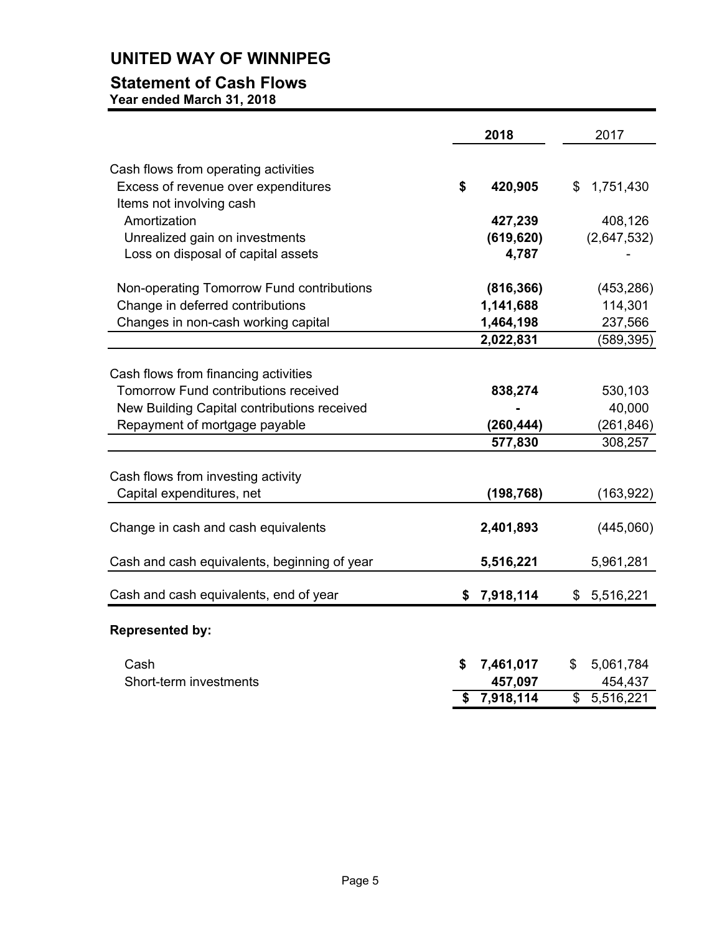# **UNITED WAY OF WINNIPEG**

# **Statement of Cash Flows**

**Year ended March 31, 2018**

|                                              | 2018                                 | 2017                                 |
|----------------------------------------------|--------------------------------------|--------------------------------------|
| Cash flows from operating activities         |                                      |                                      |
| Excess of revenue over expenditures          | \$<br>420,905                        | \$<br>1,751,430                      |
| Items not involving cash                     |                                      |                                      |
| Amortization                                 | 427,239                              | 408,126                              |
| Unrealized gain on investments               | (619, 620)                           | (2,647,532)                          |
| Loss on disposal of capital assets           | 4,787                                |                                      |
| Non-operating Tomorrow Fund contributions    | (816, 366)                           | (453, 286)                           |
| Change in deferred contributions             | 1,141,688                            | 114,301                              |
| Changes in non-cash working capital          | 1,464,198                            | 237,566                              |
|                                              | 2,022,831                            | (589,395)                            |
|                                              |                                      |                                      |
| Cash flows from financing activities         |                                      |                                      |
| <b>Tomorrow Fund contributions received</b>  | 838,274                              | 530,103                              |
| New Building Capital contributions received  |                                      | 40,000                               |
| Repayment of mortgage payable                | (260, 444)                           | (261, 846)                           |
|                                              | 577,830                              | 308,257                              |
| Cash flows from investing activity           |                                      |                                      |
| Capital expenditures, net                    | (198, 768)                           | (163, 922)                           |
|                                              |                                      |                                      |
| Change in cash and cash equivalents          | 2,401,893                            | (445,060)                            |
| Cash and cash equivalents, beginning of year | 5,516,221                            | 5,961,281                            |
| Cash and cash equivalents, end of year       | 7,918,114<br>\$                      | \$5,516,221                          |
| <b>Represented by:</b>                       |                                      |                                      |
| Cash                                         | 7,461,017<br>\$                      | 5,061,784<br>\$.                     |
| Short-term investments                       | 457,097                              | 454,437                              |
|                                              | 7,918,114<br>$\overline{\mathbf{s}}$ | $\overline{\mathbb{S}}$<br>5,516,221 |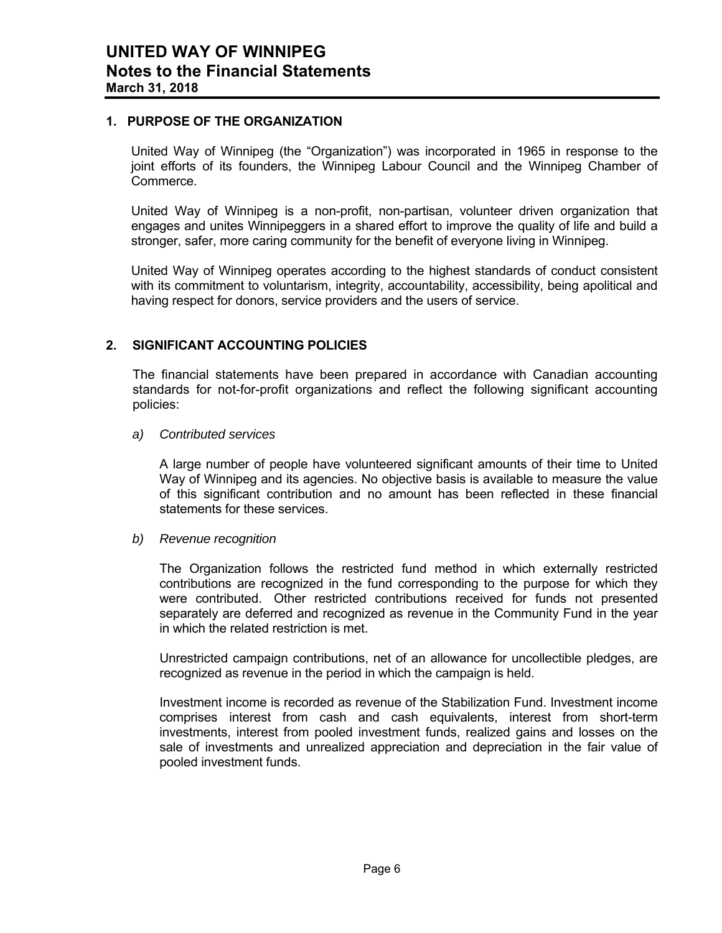## **1. PURPOSE OF THE ORGANIZATION**

United Way of Winnipeg (the "Organization") was incorporated in 1965 in response to the joint efforts of its founders, the Winnipeg Labour Council and the Winnipeg Chamber of Commerce.

United Way of Winnipeg is a non-profit, non-partisan, volunteer driven organization that engages and unites Winnipeggers in a shared effort to improve the quality of life and build a stronger, safer, more caring community for the benefit of everyone living in Winnipeg.

United Way of Winnipeg operates according to the highest standards of conduct consistent with its commitment to voluntarism, integrity, accountability, accessibility, being apolitical and having respect for donors, service providers and the users of service.

# **2. SIGNIFICANT ACCOUNTING POLICIES**

The financial statements have been prepared in accordance with Canadian accounting standards for not-for-profit organizations and reflect the following significant accounting policies:

## *a) Contributed services*

A large number of people have volunteered significant amounts of their time to United Way of Winnipeg and its agencies. No objective basis is available to measure the value of this significant contribution and no amount has been reflected in these financial statements for these services.

#### *b) Revenue recognition*

The Organization follows the restricted fund method in which externally restricted contributions are recognized in the fund corresponding to the purpose for which they were contributed. Other restricted contributions received for funds not presented separately are deferred and recognized as revenue in the Community Fund in the year in which the related restriction is met.

Unrestricted campaign contributions, net of an allowance for uncollectible pledges, are recognized as revenue in the period in which the campaign is held.

Investment income is recorded as revenue of the Stabilization Fund. Investment income comprises interest from cash and cash equivalents, interest from short-term investments, interest from pooled investment funds, realized gains and losses on the sale of investments and unrealized appreciation and depreciation in the fair value of pooled investment funds.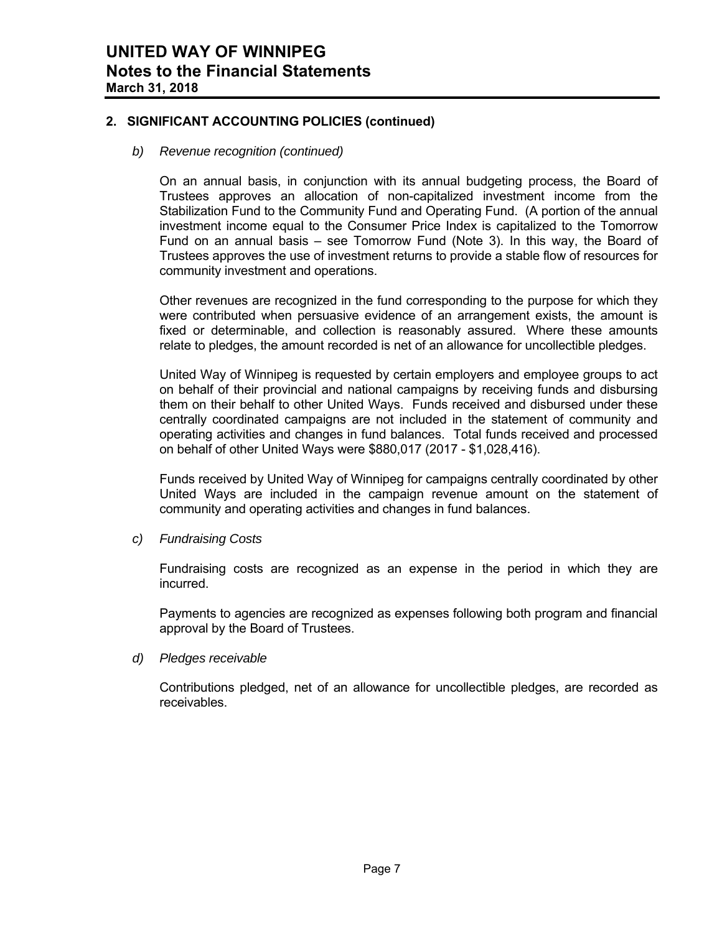# **2. SIGNIFICANT ACCOUNTING POLICIES (continued)**

#### *b) Revenue recognition (continued)*

On an annual basis, in conjunction with its annual budgeting process, the Board of Trustees approves an allocation of non-capitalized investment income from the Stabilization Fund to the Community Fund and Operating Fund. (A portion of the annual investment income equal to the Consumer Price Index is capitalized to the Tomorrow Fund on an annual basis – see Tomorrow Fund (Note 3). In this way, the Board of Trustees approves the use of investment returns to provide a stable flow of resources for community investment and operations.

Other revenues are recognized in the fund corresponding to the purpose for which they were contributed when persuasive evidence of an arrangement exists, the amount is fixed or determinable, and collection is reasonably assured. Where these amounts relate to pledges, the amount recorded is net of an allowance for uncollectible pledges.

United Way of Winnipeg is requested by certain employers and employee groups to act on behalf of their provincial and national campaigns by receiving funds and disbursing them on their behalf to other United Ways. Funds received and disbursed under these centrally coordinated campaigns are not included in the statement of community and operating activities and changes in fund balances. Total funds received and processed on behalf of other United Ways were \$880,017 (2017 - \$1,028,416).

Funds received by United Way of Winnipeg for campaigns centrally coordinated by other United Ways are included in the campaign revenue amount on the statement of community and operating activities and changes in fund balances.

*c) Fundraising Costs* 

Fundraising costs are recognized as an expense in the period in which they are incurred.

Payments to agencies are recognized as expenses following both program and financial approval by the Board of Trustees.

#### *d) Pledges receivable*

Contributions pledged, net of an allowance for uncollectible pledges, are recorded as receivables.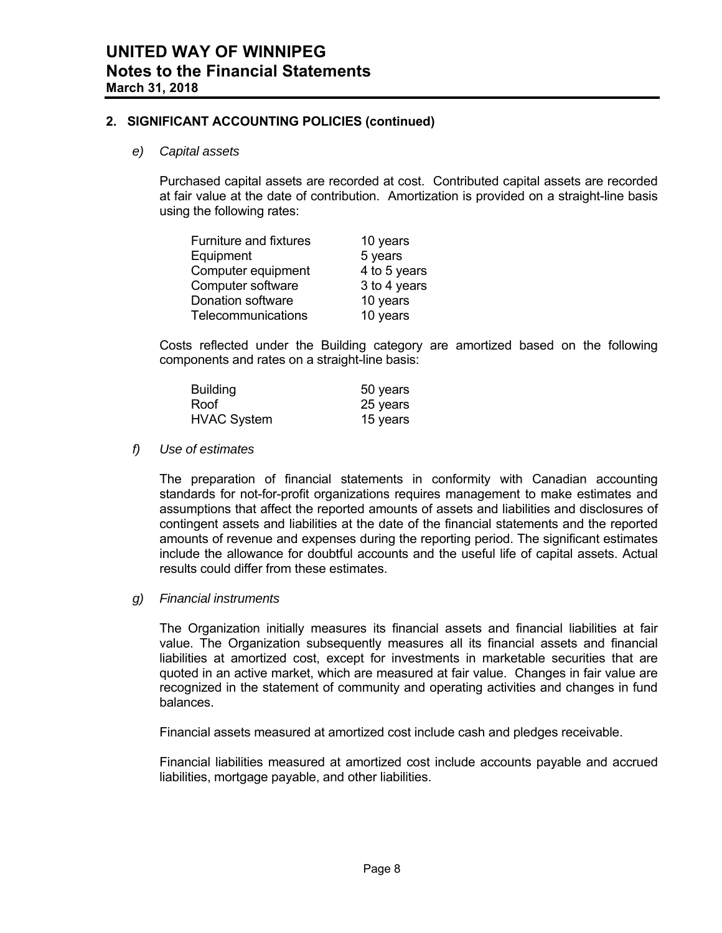# **2. SIGNIFICANT ACCOUNTING POLICIES (continued)**

#### *e) Capital assets*

Purchased capital assets are recorded at cost. Contributed capital assets are recorded at fair value at the date of contribution. Amortization is provided on a straight-line basis using the following rates:

| <b>Furniture and fixtures</b> | 10 years     |
|-------------------------------|--------------|
| Equipment                     | 5 years      |
| Computer equipment            | 4 to 5 years |
| Computer software             | 3 to 4 years |
| Donation software             | 10 years     |
| Telecommunications            | 10 years     |

Costs reflected under the Building category are amortized based on the following components and rates on a straight-line basis:

| <b>Building</b>    | 50 years |
|--------------------|----------|
| Roof               | 25 years |
| <b>HVAC System</b> | 15 years |

#### *f) Use of estimates*

The preparation of financial statements in conformity with Canadian accounting standards for not-for-profit organizations requires management to make estimates and assumptions that affect the reported amounts of assets and liabilities and disclosures of contingent assets and liabilities at the date of the financial statements and the reported amounts of revenue and expenses during the reporting period. The significant estimates include the allowance for doubtful accounts and the useful life of capital assets. Actual results could differ from these estimates.

#### *g) Financial instruments*

The Organization initially measures its financial assets and financial liabilities at fair value. The Organization subsequently measures all its financial assets and financial liabilities at amortized cost, except for investments in marketable securities that are quoted in an active market, which are measured at fair value. Changes in fair value are recognized in the statement of community and operating activities and changes in fund balances.

Financial assets measured at amortized cost include cash and pledges receivable.

Financial liabilities measured at amortized cost include accounts payable and accrued liabilities, mortgage payable, and other liabilities.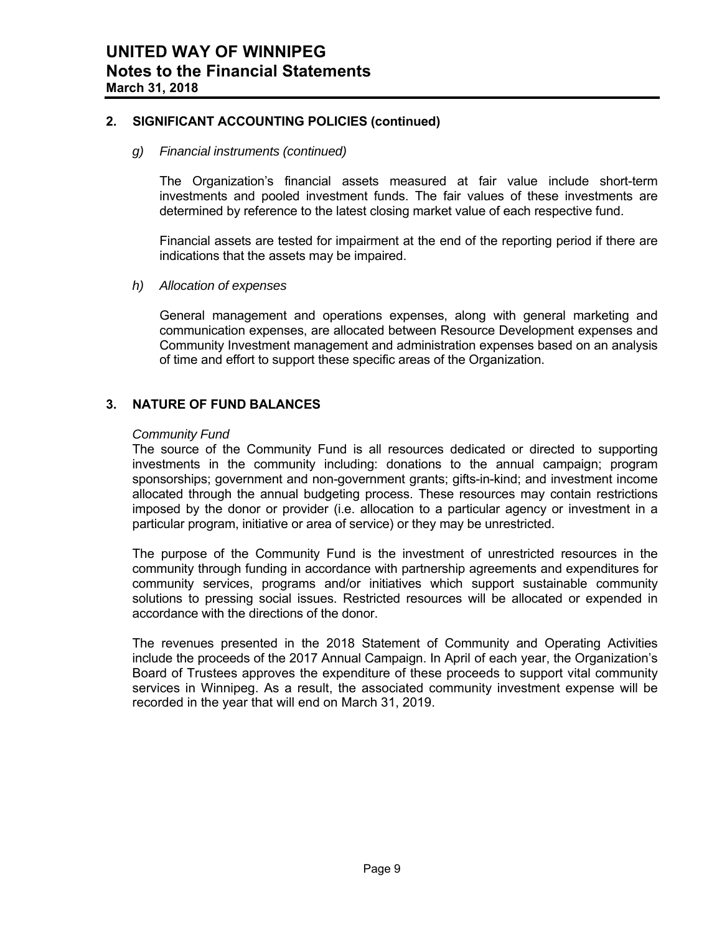# **2. SIGNIFICANT ACCOUNTING POLICIES (continued)**

#### *g) Financial instruments (continued)*

The Organization's financial assets measured at fair value include short-term investments and pooled investment funds. The fair values of these investments are determined by reference to the latest closing market value of each respective fund.

Financial assets are tested for impairment at the end of the reporting period if there are indications that the assets may be impaired.

#### *h) Allocation of expenses*

General management and operations expenses, along with general marketing and communication expenses, are allocated between Resource Development expenses and Community Investment management and administration expenses based on an analysis of time and effort to support these specific areas of the Organization.

## **3. NATURE OF FUND BALANCES**

#### *Community Fund*

 The source of the Community Fund is all resources dedicated or directed to supporting investments in the community including: donations to the annual campaign; program sponsorships; government and non-government grants; gifts-in-kind; and investment income allocated through the annual budgeting process. These resources may contain restrictions imposed by the donor or provider (i.e. allocation to a particular agency or investment in a particular program, initiative or area of service) or they may be unrestricted.

 The purpose of the Community Fund is the investment of unrestricted resources in the community through funding in accordance with partnership agreements and expenditures for community services, programs and/or initiatives which support sustainable community solutions to pressing social issues. Restricted resources will be allocated or expended in accordance with the directions of the donor.

The revenues presented in the 2018 Statement of Community and Operating Activities include the proceeds of the 2017 Annual Campaign. In April of each year, the Organization's Board of Trustees approves the expenditure of these proceeds to support vital community services in Winnipeg. As a result, the associated community investment expense will be recorded in the year that will end on March 31, 2019.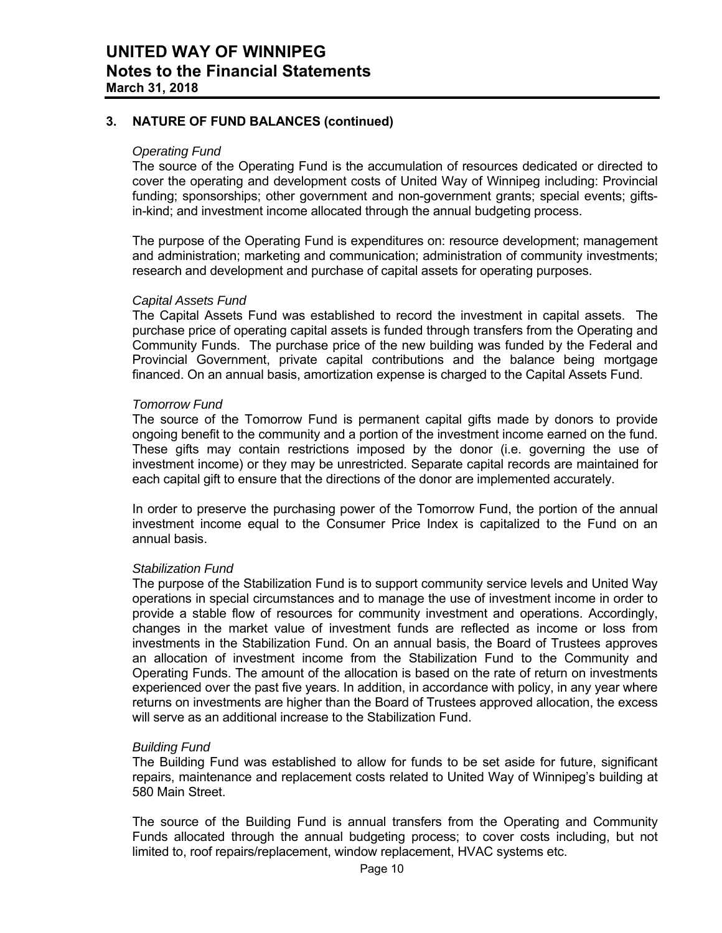# **3. NATURE OF FUND BALANCES (continued)**

#### *Operating Fund*

The source of the Operating Fund is the accumulation of resources dedicated or directed to cover the operating and development costs of United Way of Winnipeg including: Provincial funding; sponsorships; other government and non-government grants; special events; giftsin-kind; and investment income allocated through the annual budgeting process.

The purpose of the Operating Fund is expenditures on: resource development; management and administration; marketing and communication; administration of community investments; research and development and purchase of capital assets for operating purposes.

#### *Capital Assets Fund*

The Capital Assets Fund was established to record the investment in capital assets. The purchase price of operating capital assets is funded through transfers from the Operating and Community Funds. The purchase price of the new building was funded by the Federal and Provincial Government, private capital contributions and the balance being mortgage financed. On an annual basis, amortization expense is charged to the Capital Assets Fund.

#### *Tomorrow Fund*

The source of the Tomorrow Fund is permanent capital gifts made by donors to provide ongoing benefit to the community and a portion of the investment income earned on the fund. These gifts may contain restrictions imposed by the donor (i.e. governing the use of investment income) or they may be unrestricted. Separate capital records are maintained for each capital gift to ensure that the directions of the donor are implemented accurately.

In order to preserve the purchasing power of the Tomorrow Fund, the portion of the annual investment income equal to the Consumer Price Index is capitalized to the Fund on an annual basis.

#### *Stabilization Fund*

The purpose of the Stabilization Fund is to support community service levels and United Way operations in special circumstances and to manage the use of investment income in order to provide a stable flow of resources for community investment and operations. Accordingly, changes in the market value of investment funds are reflected as income or loss from investments in the Stabilization Fund. On an annual basis, the Board of Trustees approves an allocation of investment income from the Stabilization Fund to the Community and Operating Funds. The amount of the allocation is based on the rate of return on investments experienced over the past five years. In addition, in accordance with policy, in any year where returns on investments are higher than the Board of Trustees approved allocation, the excess will serve as an additional increase to the Stabilization Fund.

#### *Building Fund*

The Building Fund was established to allow for funds to be set aside for future, significant repairs, maintenance and replacement costs related to United Way of Winnipeg's building at 580 Main Street.

The source of the Building Fund is annual transfers from the Operating and Community Funds allocated through the annual budgeting process; to cover costs including, but not limited to, roof repairs/replacement, window replacement, HVAC systems etc.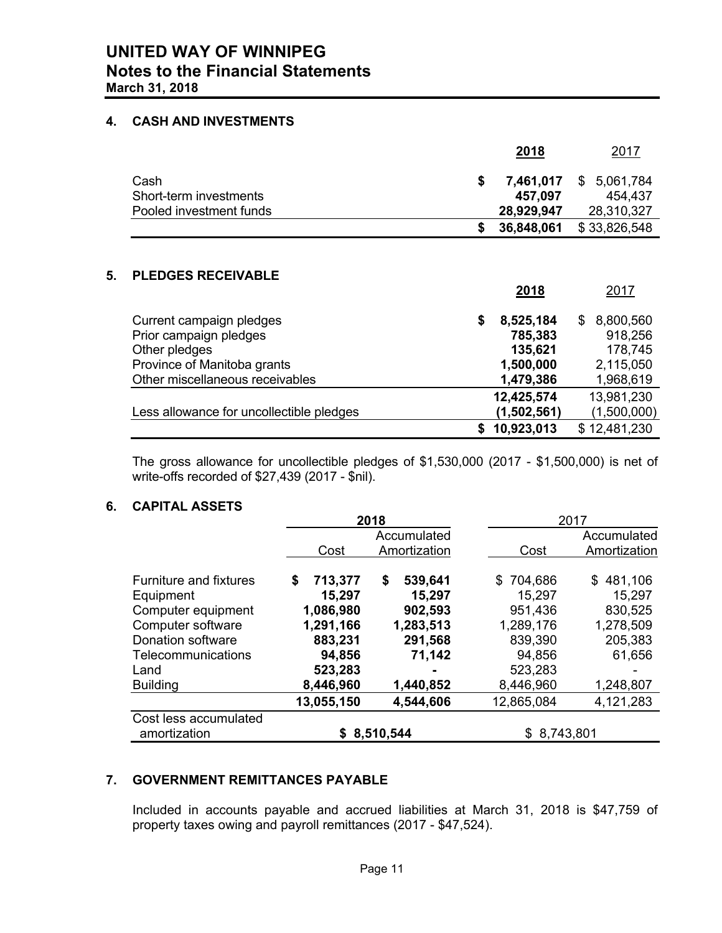# **4. CASH AND INVESTMENTS**

|    |                                          |    | 2018        | 2017            |
|----|------------------------------------------|----|-------------|-----------------|
|    | Cash                                     | \$ | 7,461,017   | 5,061,784<br>\$ |
|    | Short-term investments                   |    | 457,097     | 454,437         |
|    | Pooled investment funds                  |    | 28,929,947  | 28,310,327      |
|    |                                          | \$ | 36,848,061  | \$33,826,548    |
| 5. | <b>PLEDGES RECEIVABLE</b>                |    |             |                 |
|    |                                          |    | 2018        | <u> 2017 </u>   |
|    | Current campaign pledges                 | \$ | 8,525,184   | 8,800,560<br>\$ |
|    | Prior campaign pledges                   |    | 785,383     | 918,256         |
|    | Other pledges                            |    | 135,621     | 178,745         |
|    | Province of Manitoba grants              |    | 1,500,000   | 2,115,050       |
|    | Other miscellaneous receivables          |    | 1,479,386   | 1,968,619       |
|    |                                          |    | 12,425,574  | 13,981,230      |
|    | Less allowance for uncollectible pledges |    | (1,502,561) | (1,500,000)     |
|    |                                          | S. | 10,923,013  | \$12,481,230    |

The gross allowance for uncollectible pledges of \$1,530,000 (2017 - \$1,500,000) is net of write-offs recorded of \$27,439 (2017 - \$nil).

# **6. CAPITAL ASSETS**

|                               |               | 2018          |                | 2017         |
|-------------------------------|---------------|---------------|----------------|--------------|
|                               |               | Accumulated   |                | Accumulated  |
|                               | Cost          | Amortization  | Cost           | Amortization |
| <b>Furniture and fixtures</b> | \$<br>713,377 | \$<br>539,641 | 704,686<br>\$. | \$481,106    |
| Equipment                     | 15,297        | 15,297        | 15,297         | 15,297       |
| Computer equipment            | 1,086,980     | 902,593       | 951,436        | 830,525      |
| Computer software             | 1,291,166     | 1,283,513     | 1,289,176      | 1,278,509    |
| Donation software             | 883,231       | 291,568       | 839,390        | 205,383      |
| Telecommunications            | 94,856        | 71,142        | 94,856         | 61,656       |
| Land                          | 523,283       |               | 523,283        |              |
| <b>Building</b>               | 8,446,960     | 1,440,852     | 8,446,960      | 1,248,807    |
|                               | 13,055,150    | 4,544,606     | 12,865,084     | 4,121,283    |
| Cost less accumulated         |               |               |                |              |
| amortization                  |               | \$8,510,544   | \$8,743,801    |              |

# **7. GOVERNMENT REMITTANCES PAYABLE**

 Included in accounts payable and accrued liabilities at March 31, 2018 is \$47,759 of property taxes owing and payroll remittances (2017 - \$47,524).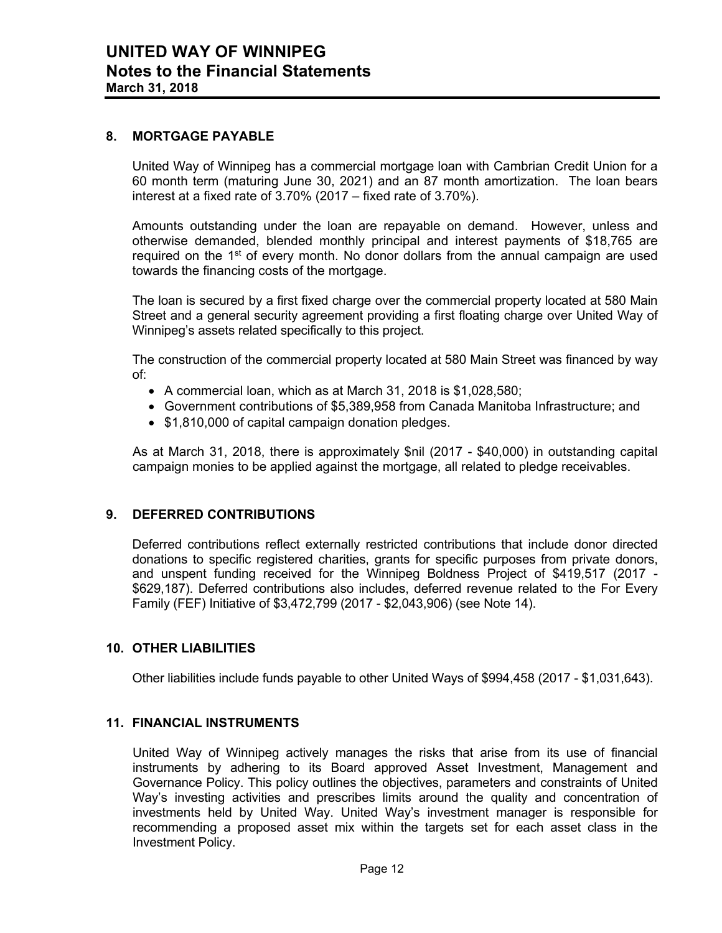# **8. MORTGAGE PAYABLE**

 United Way of Winnipeg has a commercial mortgage loan with Cambrian Credit Union for a 60 month term (maturing June 30, 2021) and an 87 month amortization. The loan bears interest at a fixed rate of 3.70% (2017 – fixed rate of 3.70%).

 Amounts outstanding under the loan are repayable on demand. However, unless and otherwise demanded, blended monthly principal and interest payments of \$18,765 are required on the  $1<sup>st</sup>$  of every month. No donor dollars from the annual campaign are used towards the financing costs of the mortgage.

 The loan is secured by a first fixed charge over the commercial property located at 580 Main Street and a general security agreement providing a first floating charge over United Way of Winnipeg's assets related specifically to this project.

 The construction of the commercial property located at 580 Main Street was financed by way of:

- $\bullet$  A commercial loan, which as at March 31, 2018 is \$1,028,580;
- Government contributions of \$5,389,958 from Canada Manitoba Infrastructure; and
- \$1,810,000 of capital campaign donation pledges.

As at March 31, 2018, there is approximately \$nil (2017 - \$40,000) in outstanding capital campaign monies to be applied against the mortgage, all related to pledge receivables.

# **9. DEFERRED CONTRIBUTIONS**

Deferred contributions reflect externally restricted contributions that include donor directed donations to specific registered charities, grants for specific purposes from private donors, and unspent funding received for the Winnipeg Boldness Project of \$419,517 (2017 - \$629,187). Deferred contributions also includes, deferred revenue related to the For Every Family (FEF) Initiative of \$3,472,799 (2017 - \$2,043,906) (see Note 14).

# **10. OTHER LIABILITIES**

Other liabilities include funds payable to other United Ways of \$994,458 (2017 - \$1,031,643).

#### **11. FINANCIAL INSTRUMENTS**

United Way of Winnipeg actively manages the risks that arise from its use of financial instruments by adhering to its Board approved Asset Investment, Management and Governance Policy. This policy outlines the objectives, parameters and constraints of United Way's investing activities and prescribes limits around the quality and concentration of investments held by United Way. United Way's investment manager is responsible for recommending a proposed asset mix within the targets set for each asset class in the Investment Policy.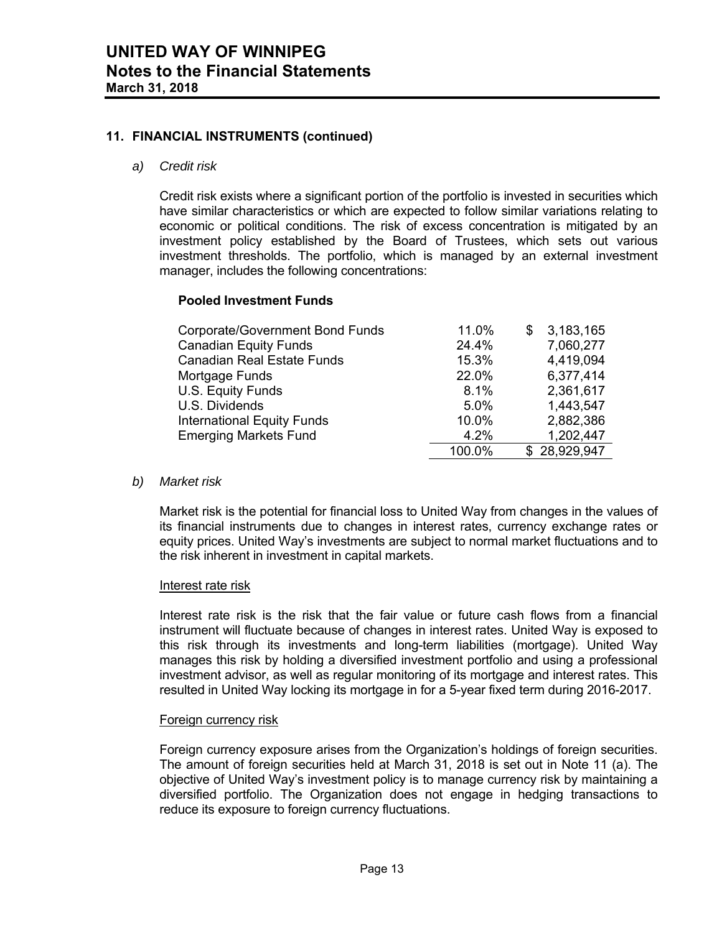## **11. FINANCIAL INSTRUMENTS (continued)**

#### *a) Credit risk*

Credit risk exists where a significant portion of the portfolio is invested in securities which have similar characteristics or which are expected to follow similar variations relating to economic or political conditions. The risk of excess concentration is mitigated by an investment policy established by the Board of Trustees, which sets out various investment thresholds. The portfolio, which is managed by an external investment manager, includes the following concentrations:

#### **Pooled Investment Funds**

| <b>Corporate/Government Bond Funds</b> | 11.0%  | 3,183,165  |
|----------------------------------------|--------|------------|
| <b>Canadian Equity Funds</b>           | 24.4%  | 7,060,277  |
| <b>Canadian Real Estate Funds</b>      | 15.3%  | 4,419,094  |
| Mortgage Funds                         | 22.0%  | 6,377,414  |
| U.S. Equity Funds                      | 8.1%   | 2,361,617  |
| U.S. Dividends                         | 5.0%   | 1,443,547  |
| <b>International Equity Funds</b>      | 10.0%  | 2,882,386  |
| <b>Emerging Markets Fund</b>           | 4.2%   | 1,202,447  |
|                                        | 100.0% | 28,929,947 |

#### *b) Market risk*

Market risk is the potential for financial loss to United Way from changes in the values of its financial instruments due to changes in interest rates, currency exchange rates or equity prices. United Way's investments are subject to normal market fluctuations and to the risk inherent in investment in capital markets.

#### Interest rate risk

Interest rate risk is the risk that the fair value or future cash flows from a financial instrument will fluctuate because of changes in interest rates. United Way is exposed to this risk through its investments and long-term liabilities (mortgage). United Way manages this risk by holding a diversified investment portfolio and using a professional investment advisor, as well as regular monitoring of its mortgage and interest rates. This resulted in United Way locking its mortgage in for a 5-year fixed term during 2016-2017.

#### Foreign currency risk

Foreign currency exposure arises from the Organization's holdings of foreign securities. The amount of foreign securities held at March 31, 2018 is set out in Note 11 (a). The objective of United Way's investment policy is to manage currency risk by maintaining a diversified portfolio. The Organization does not engage in hedging transactions to reduce its exposure to foreign currency fluctuations.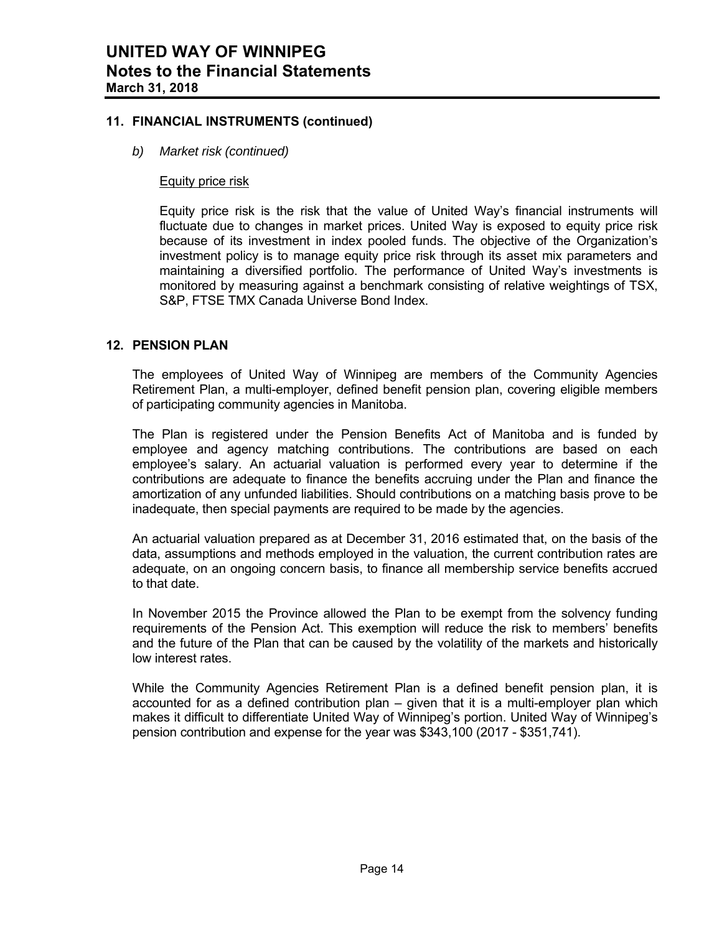# **11. FINANCIAL INSTRUMENTS (continued)**

*b) Market risk (continued)* 

#### Equity price risk

Equity price risk is the risk that the value of United Way's financial instruments will fluctuate due to changes in market prices. United Way is exposed to equity price risk because of its investment in index pooled funds. The objective of the Organization's investment policy is to manage equity price risk through its asset mix parameters and maintaining a diversified portfolio. The performance of United Way's investments is monitored by measuring against a benchmark consisting of relative weightings of TSX, S&P, FTSE TMX Canada Universe Bond Index.

## **12. PENSION PLAN**

 The employees of United Way of Winnipeg are members of the Community Agencies Retirement Plan, a multi-employer, defined benefit pension plan, covering eligible members of participating community agencies in Manitoba.

 The Plan is registered under the Pension Benefits Act of Manitoba and is funded by employee and agency matching contributions. The contributions are based on each employee's salary. An actuarial valuation is performed every year to determine if the contributions are adequate to finance the benefits accruing under the Plan and finance the amortization of any unfunded liabilities. Should contributions on a matching basis prove to be inadequate, then special payments are required to be made by the agencies.

 An actuarial valuation prepared as at December 31, 2016 estimated that, on the basis of the data, assumptions and methods employed in the valuation, the current contribution rates are adequate, on an ongoing concern basis, to finance all membership service benefits accrued to that date.

 In November 2015 the Province allowed the Plan to be exempt from the solvency funding requirements of the Pension Act. This exemption will reduce the risk to members' benefits and the future of the Plan that can be caused by the volatility of the markets and historically low interest rates.

While the Community Agencies Retirement Plan is a defined benefit pension plan, it is accounted for as a defined contribution plan – given that it is a multi-employer plan which makes it difficult to differentiate United Way of Winnipeg's portion. United Way of Winnipeg's pension contribution and expense for the year was \$343,100 (2017 - \$351,741).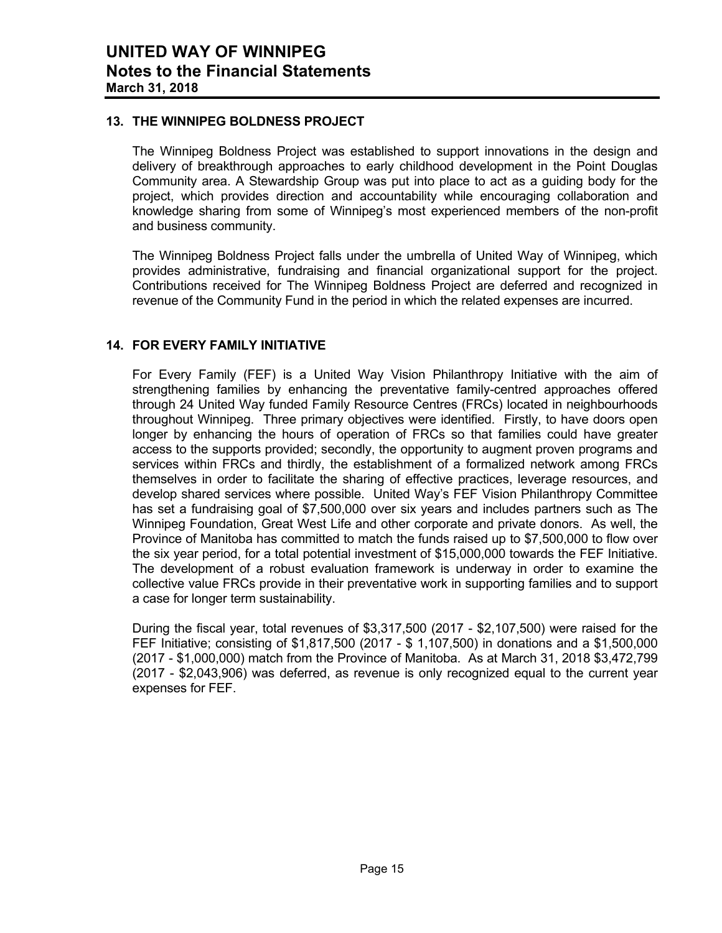# **13. THE WINNIPEG BOLDNESS PROJECT**

 The Winnipeg Boldness Project was established to support innovations in the design and delivery of breakthrough approaches to early childhood development in the Point Douglas Community area. A Stewardship Group was put into place to act as a guiding body for the project, which provides direction and accountability while encouraging collaboration and knowledge sharing from some of Winnipeg's most experienced members of the non-profit and business community.

 The Winnipeg Boldness Project falls under the umbrella of United Way of Winnipeg, which provides administrative, fundraising and financial organizational support for the project. Contributions received for The Winnipeg Boldness Project are deferred and recognized in revenue of the Community Fund in the period in which the related expenses are incurred.

# **14. FOR EVERY FAMILY INITIATIVE**

For Every Family (FEF) is a United Way Vision Philanthropy Initiative with the aim of strengthening families by enhancing the preventative family-centred approaches offered through 24 United Way funded Family Resource Centres (FRCs) located in neighbourhoods throughout Winnipeg. Three primary objectives were identified. Firstly, to have doors open longer by enhancing the hours of operation of FRCs so that families could have greater access to the supports provided; secondly, the opportunity to augment proven programs and services within FRCs and thirdly, the establishment of a formalized network among FRCs themselves in order to facilitate the sharing of effective practices, leverage resources, and develop shared services where possible. United Way's FEF Vision Philanthropy Committee has set a fundraising goal of \$7,500,000 over six years and includes partners such as The Winnipeg Foundation, Great West Life and other corporate and private donors. As well, the Province of Manitoba has committed to match the funds raised up to \$7,500,000 to flow over the six year period, for a total potential investment of \$15,000,000 towards the FEF Initiative. The development of a robust evaluation framework is underway in order to examine the collective value FRCs provide in their preventative work in supporting families and to support a case for longer term sustainability.

During the fiscal year, total revenues of \$3,317,500 (2017 - \$2,107,500) were raised for the FEF Initiative; consisting of \$1,817,500 (2017 - \$ 1,107,500) in donations and a \$1,500,000 (2017 - \$1,000,000) match from the Province of Manitoba. As at March 31, 2018 \$3,472,799 (2017 - \$2,043,906) was deferred, as revenue is only recognized equal to the current year expenses for FEF.